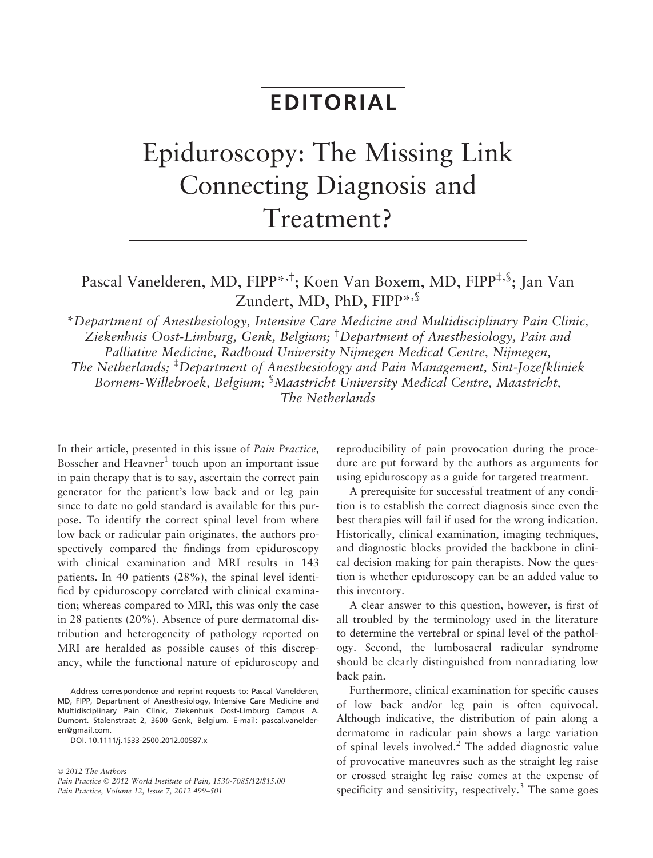## EDITORIAL

## Epiduroscopy: The Missing Link Connecting Diagnosis and Treatment?

Pascal Vanelderen, MD, FIPP<sup>\*,†</sup>; Koen Van Boxem, MD, FIPP<sup>‡,§</sup>; Jan Van Zundert, MD, PhD, FIPP\*, §

\*Department of Anesthesiology, Intensive Care Medicine and Multidisciplinary Pain Clinic, Ziekenhuis Oost-Limburg, Genk, Belgium; † Department of Anesthesiology, Pain and Palliative Medicine, Radboud University Nijmegen Medical Centre, Nijmegen, The Netherlands; ‡ Department of Anesthesiology and Pain Management, Sint-Jozefkliniek Bornem-Willebroek, Belgium; <sup>§</sup>Maastricht University Medical Centre, Maastricht, The Netherlands

In their article, presented in this issue of Pain Practice, Bosscher and  $Hearner<sup>1</sup>$  touch upon an important issue in pain therapy that is to say, ascertain the correct pain generator for the patient's low back and or leg pain since to date no gold standard is available for this purpose. To identify the correct spinal level from where low back or radicular pain originates, the authors prospectively compared the findings from epiduroscopy with clinical examination and MRI results in 143 patients. In 40 patients (28%), the spinal level identified by epiduroscopy correlated with clinical examination; whereas compared to MRI, this was only the case in 28 patients (20%). Absence of pure dermatomal distribution and heterogeneity of pathology reported on MRI are heralded as possible causes of this discrepancy, while the functional nature of epiduroscopy and

Address correspondence and reprint requests to: Pascal Vanelderen, MD, FIPP, Department of Anesthesiology, Intensive Care Medicine and Multidisciplinary Pain Clinic, Ziekenhuis Oost-Limburg Campus A. Dumont. Stalenstraat 2, 3600 Genk, Belgium. E-mail: pascal.vanelderen@gmail.com.

DOI. 10.1111/j.1533-2500.2012.00587.x

 $\overline{\odot}$  2012 The Authors

Pain Practice © 2012 World Institute of Pain, 1530-7085/12/\$15.00 Pain Practice, Volume 12, Issue 7, 2012 499–501

reproducibility of pain provocation during the procedure are put forward by the authors as arguments for using epiduroscopy as a guide for targeted treatment.

A prerequisite for successful treatment of any condition is to establish the correct diagnosis since even the best therapies will fail if used for the wrong indication. Historically, clinical examination, imaging techniques, and diagnostic blocks provided the backbone in clinical decision making for pain therapists. Now the question is whether epiduroscopy can be an added value to this inventory.

A clear answer to this question, however, is first of all troubled by the terminology used in the literature to determine the vertebral or spinal level of the pathology. Second, the lumbosacral radicular syndrome should be clearly distinguished from nonradiating low back pain.

Furthermore, clinical examination for specific causes of low back and/or leg pain is often equivocal. Although indicative, the distribution of pain along a dermatome in radicular pain shows a large variation of spinal levels involved.<sup>2</sup> The added diagnostic value of provocative maneuvres such as the straight leg raise or crossed straight leg raise comes at the expense of specificity and sensitivity, respectively.<sup>3</sup> The same goes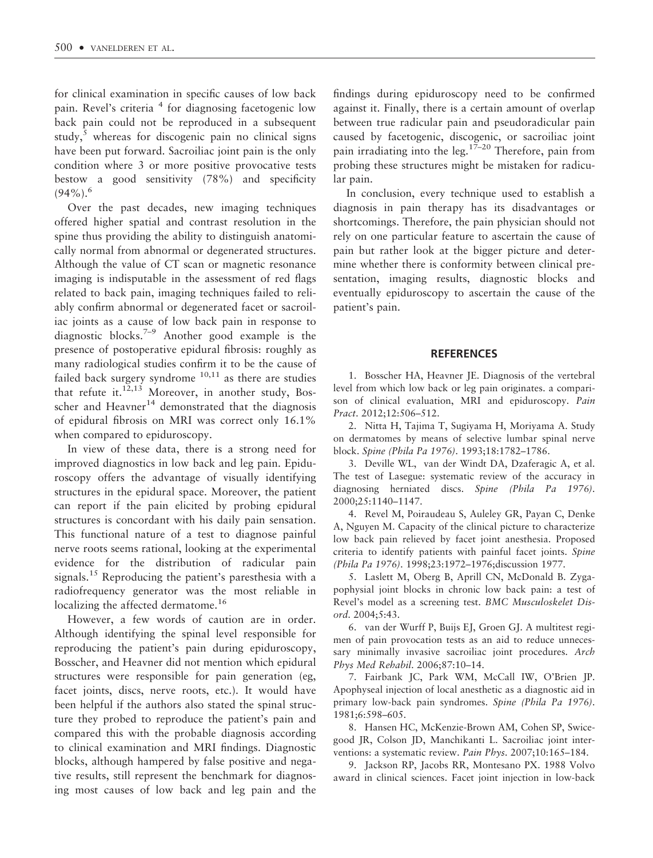for clinical examination in specific causes of low back pain. Revel's criteria  $4$  for diagnosing facetogenic low back pain could not be reproduced in a subsequent study, $5$  whereas for discogenic pain no clinical signs have been put forward. Sacroiliac joint pain is the only condition where 3 or more positive provocative tests bestow a good sensitivity (78%) and specificity  $(94\%)$ .<sup>6</sup>

Over the past decades, new imaging techniques offered higher spatial and contrast resolution in the spine thus providing the ability to distinguish anatomically normal from abnormal or degenerated structures. Although the value of CT scan or magnetic resonance imaging is indisputable in the assessment of red flags related to back pain, imaging techniques failed to reliably confirm abnormal or degenerated facet or sacroiliac joints as a cause of low back pain in response to diagnostic blocks.<sup>7–9</sup> Another good example is the presence of postoperative epidural fibrosis: roughly as many radiological studies confirm it to be the cause of failed back surgery syndrome  $10,11$  as there are studies that refute it.<sup>12,13</sup> Moreover, in another study, Bosscher and Heavner<sup>14</sup> demonstrated that the diagnosis of epidural fibrosis on MRI was correct only 16.1% when compared to epiduroscopy.

In view of these data, there is a strong need for improved diagnostics in low back and leg pain. Epiduroscopy offers the advantage of visually identifying structures in the epidural space. Moreover, the patient can report if the pain elicited by probing epidural structures is concordant with his daily pain sensation. This functional nature of a test to diagnose painful nerve roots seems rational, looking at the experimental evidence for the distribution of radicular pain signals.<sup>15</sup> Reproducing the patient's paresthesia with a radiofrequency generator was the most reliable in localizing the affected dermatome.<sup>16</sup>

However, a few words of caution are in order. Although identifying the spinal level responsible for reproducing the patient's pain during epiduroscopy, Bosscher, and Heavner did not mention which epidural structures were responsible for pain generation (eg, facet joints, discs, nerve roots, etc.). It would have been helpful if the authors also stated the spinal structure they probed to reproduce the patient's pain and compared this with the probable diagnosis according to clinical examination and MRI findings. Diagnostic blocks, although hampered by false positive and negative results, still represent the benchmark for diagnosing most causes of low back and leg pain and the

findings during epiduroscopy need to be confirmed against it. Finally, there is a certain amount of overlap between true radicular pain and pseudoradicular pain caused by facetogenic, discogenic, or sacroiliac joint pain irradiating into the leg.<sup>17–20</sup> Therefore, pain from probing these structures might be mistaken for radicular pain.

In conclusion, every technique used to establish a diagnosis in pain therapy has its disadvantages or shortcomings. Therefore, the pain physician should not rely on one particular feature to ascertain the cause of pain but rather look at the bigger picture and determine whether there is conformity between clinical presentation, imaging results, diagnostic blocks and eventually epiduroscopy to ascertain the cause of the patient's pain.

## **REFERENCES**

1. Bosscher HA, Heavner JE. Diagnosis of the vertebral level from which low back or leg pain originates. a comparison of clinical evaluation, MRI and epiduroscopy. Pain Pract. 2012;12:506–512.

2. Nitta H, Tajima T, Sugiyama H, Moriyama A. Study on dermatomes by means of selective lumbar spinal nerve block. Spine (Phila Pa 1976). 1993;18:1782–1786.

3. Deville WL, van der Windt DA, Dzaferagic A, et al. The test of Lasegue: systematic review of the accuracy in diagnosing herniated discs. Spine (Phila Pa 1976). 2000;25:1140–1147.

4. Revel M, Poiraudeau S, Auleley GR, Payan C, Denke A, Nguyen M. Capacity of the clinical picture to characterize low back pain relieved by facet joint anesthesia. Proposed criteria to identify patients with painful facet joints. Spine (Phila Pa 1976). 1998;23:1972–1976;discussion 1977.

5. Laslett M, Oberg B, Aprill CN, McDonald B. Zygapophysial joint blocks in chronic low back pain: a test of Revel's model as a screening test. BMC Musculoskelet Disord. 2004;5:43.

6. van der Wurff P, Buijs EJ, Groen GJ. A multitest regimen of pain provocation tests as an aid to reduce unnecessary minimally invasive sacroiliac joint procedures. Arch Phys Med Rehabil. 2006;87:10–14.

7. Fairbank JC, Park WM, McCall IW, O'Brien JP. Apophyseal injection of local anesthetic as a diagnostic aid in primary low-back pain syndromes. Spine (Phila Pa 1976). 1981;6:598–605.

8. Hansen HC, McKenzie-Brown AM, Cohen SP, Swicegood JR, Colson JD, Manchikanti L. Sacroiliac joint interventions: a systematic review. Pain Phys. 2007;10:165–184.

9. Jackson RP, Jacobs RR, Montesano PX. 1988 Volvo award in clinical sciences. Facet joint injection in low-back